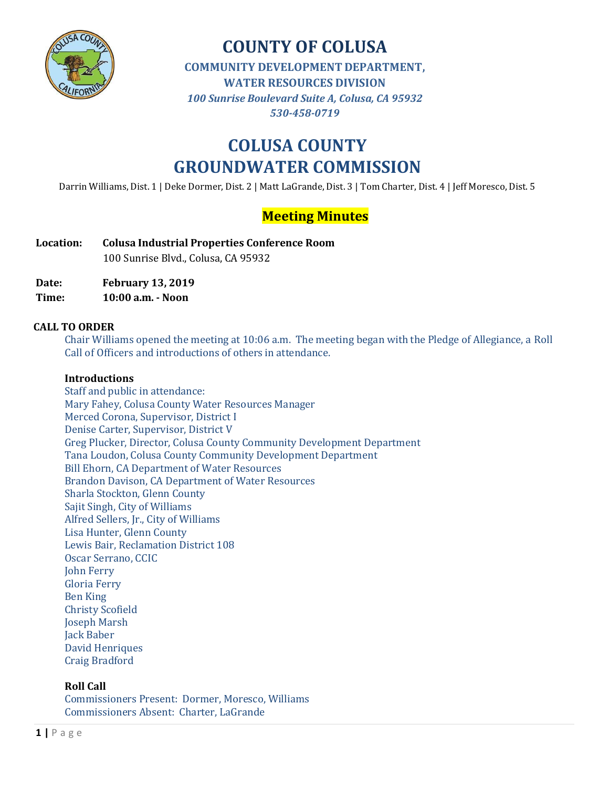

# **COUNTY OF COLUSA**

**COMMUNITY DEVELOPMENT DEPARTMENT,** 

**WATER RESOURCES DIVISION**

*100 Sunrise Boulevard Suite A, Colusa, CA 95932 530-458-0719*

# **COLUSA COUNTY GROUNDWATER COMMISSION**

Darrin Williams, Dist. 1 | Deke Dormer, Dist. 2 | Matt LaGrande, Dist. 3 | Tom Charter, Dist. 4 | Jeff Moresco, Dist. 5

# **Meeting Minutes**

- **Location: Colusa Industrial Properties Conference Room** 100 Sunrise Blvd., Colusa, CA 95932
- **Date: February 13, 2019**
- **Time: 10:00 a.m. - Noon**

#### **CALL TO ORDER**

Chair Williams opened the meeting at 10:06 a.m. The meeting began with the Pledge of Allegiance, a Roll Call of Officers and introductions of others in attendance.

#### **Introductions**

Staff and public in attendance: Mary Fahey, Colusa County Water Resources Manager Merced Corona, Supervisor, District I Denise Carter, Supervisor, District V Greg Plucker, Director, Colusa County Community Development Department Tana Loudon, Colusa County Community Development Department Bill Ehorn, CA Department of Water Resources Brandon Davison, CA Department of Water Resources Sharla Stockton, Glenn County Sajit Singh, City of Williams Alfred Sellers, Jr., City of Williams Lisa Hunter, Glenn County Lewis Bair, Reclamation District 108 Oscar Serrano, CCIC John Ferry Gloria Ferry Ben King Christy Scofield Joseph Marsh Jack Baber David Henriques Craig Bradford

#### **Roll Call**

Commissioners Present: Dormer, Moresco, Williams Commissioners Absent: Charter, LaGrande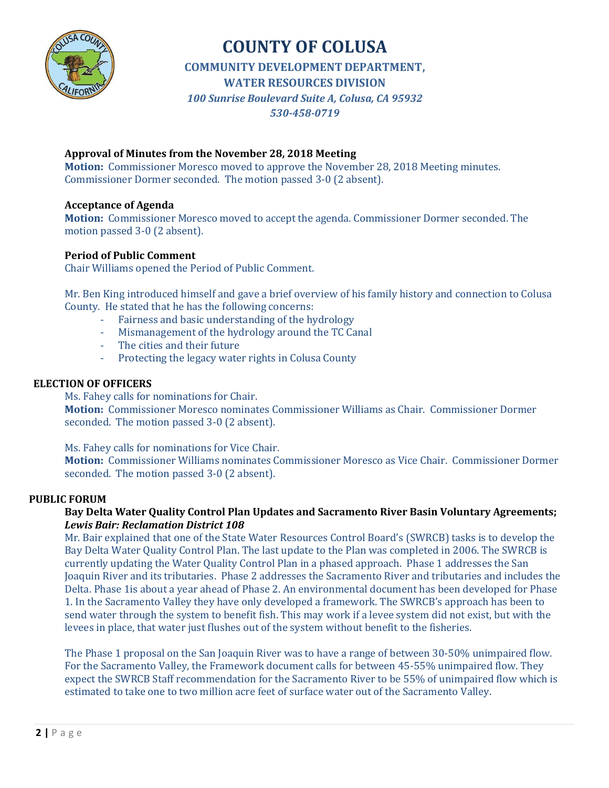

# **COUNTY OF COLUSA**

**COMMUNITY DEVELOPMENT DEPARTMENT,** 

**WATER RESOURCES DIVISION**

*100 Sunrise Boulevard Suite A, Colusa, CA 95932*

#### *530-458-0719*

#### **Approval of Minutes from the November 28, 2018 Meeting**

**Motion:** Commissioner Moresco moved to approve the November 28, 2018 Meeting minutes. Commissioner Dormer seconded. The motion passed 3-0 (2 absent).

#### **Acceptance of Agenda**

**Motion:** Commissioner Moresco moved to accept the agenda. Commissioner Dormer seconded. The motion passed 3-0 (2 absent).

#### **Period of Public Comment**

Chair Williams opened the Period of Public Comment.

Mr. Ben King introduced himself and gave a brief overview of his family history and connection to Colusa County. He stated that he has the following concerns:

- Fairness and basic understanding of the hydrology
- Mismanagement of the hydrology around the TC Canal
- The cities and their future
- Protecting the legacy water rights in Colusa County

#### **ELECTION OF OFFICERS**

Ms. Fahey calls for nominations for Chair. **Motion:** Commissioner Moresco nominates Commissioner Williams as Chair. Commissioner Dormer seconded. The motion passed 3-0 (2 absent).

Ms. Fahey calls for nominations for Vice Chair.

**Motion:** Commissioner Williams nominates Commissioner Moresco as Vice Chair. Commissioner Dormer seconded. The motion passed 3-0 (2 absent).

#### **PUBLIC FORUM**

#### **Bay Delta Water Quality Control Plan Updates and Sacramento River Basin Voluntary Agreements;**  *Lewis Bair: Reclamation District 108*

Mr. Bair explained that one of the State Water Resources Control Board's (SWRCB) tasks is to develop the Bay Delta Water Quality Control Plan. The last update to the Plan was completed in 2006. The SWRCB is currently updating the Water Quality Control Plan in a phased approach. Phase 1 addresses the San Joaquin River and its tributaries. Phase 2 addresses the Sacramento River and tributaries and includes the Delta. Phase 1is about a year ahead of Phase 2. An environmental document has been developed for Phase 1. In the Sacramento Valley they have only developed a framework. The SWRCB's approach has been to send water through the system to benefit fish. This may work if a levee system did not exist, but with the levees in place, that water just flushes out of the system without benefit to the fisheries.

The Phase 1 proposal on the San Joaquin River was to have a range of between 30-50% unimpaired flow. For the Sacramento Valley, the Framework document calls for between 45-55% unimpaired flow. They expect the SWRCB Staff recommendation for the Sacramento River to be 55% of unimpaired flow which is estimated to take one to two million acre feet of surface water out of the Sacramento Valley.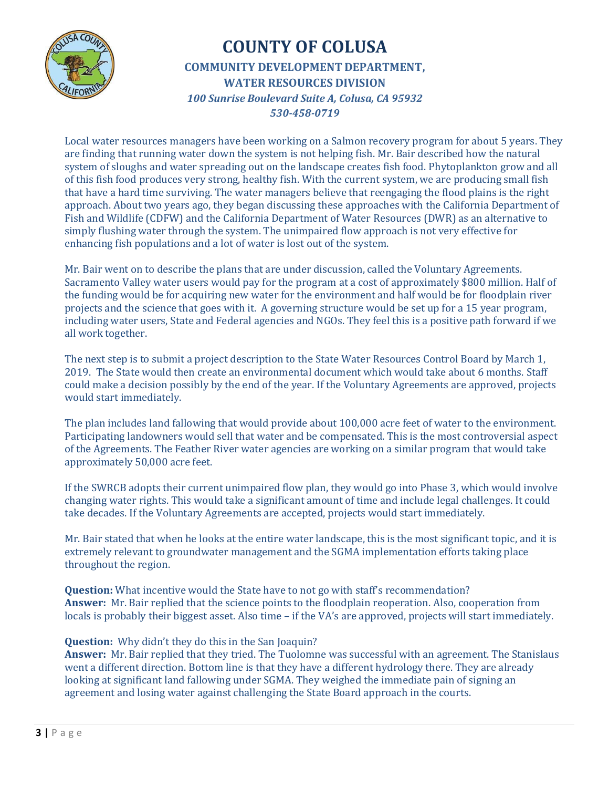

Local water resources managers have been working on a Salmon recovery program for about 5 years. They are finding that running water down the system is not helping fish. Mr. Bair described how the natural system of sloughs and water spreading out on the landscape creates fish food. Phytoplankton grow and all of this fish food produces very strong, healthy fish. With the current system, we are producing small fish that have a hard time surviving. The water managers believe that reengaging the flood plains is the right approach. About two years ago, they began discussing these approaches with the California Department of Fish and Wildlife (CDFW) and the California Department of Water Resources (DWR) as an alternative to simply flushing water through the system. The unimpaired flow approach is not very effective for enhancing fish populations and a lot of water is lost out of the system.

Mr. Bair went on to describe the plans that are under discussion, called the Voluntary Agreements. Sacramento Valley water users would pay for the program at a cost of approximately \$800 million. Half of the funding would be for acquiring new water for the environment and half would be for floodplain river projects and the science that goes with it. A governing structure would be set up for a 15 year program, including water users, State and Federal agencies and NGOs. They feel this is a positive path forward if we all work together.

The next step is to submit a project description to the State Water Resources Control Board by March 1, 2019. The State would then create an environmental document which would take about 6 months. Staff could make a decision possibly by the end of the year. If the Voluntary Agreements are approved, projects would start immediately.

The plan includes land fallowing that would provide about 100,000 acre feet of water to the environment. Participating landowners would sell that water and be compensated. This is the most controversial aspect of the Agreements. The Feather River water agencies are working on a similar program that would take approximately 50,000 acre feet.

If the SWRCB adopts their current unimpaired flow plan, they would go into Phase 3, which would involve changing water rights. This would take a significant amount of time and include legal challenges. It could take decades. If the Voluntary Agreements are accepted, projects would start immediately.

Mr. Bair stated that when he looks at the entire water landscape, this is the most significant topic, and it is extremely relevant to groundwater management and the SGMA implementation efforts taking place throughout the region.

**Question:** What incentive would the State have to not go with staff's recommendation? **Answer:** Mr. Bair replied that the science points to the floodplain reoperation. Also, cooperation from locals is probably their biggest asset. Also time – if the VA's are approved, projects will start immediately.

#### **Question:** Why didn't they do this in the San Joaquin?

**Answer:** Mr. Bair replied that they tried. The Tuolomne was successful with an agreement. The Stanislaus went a different direction. Bottom line is that they have a different hydrology there. They are already looking at significant land fallowing under SGMA. They weighed the immediate pain of signing an agreement and losing water against challenging the State Board approach in the courts.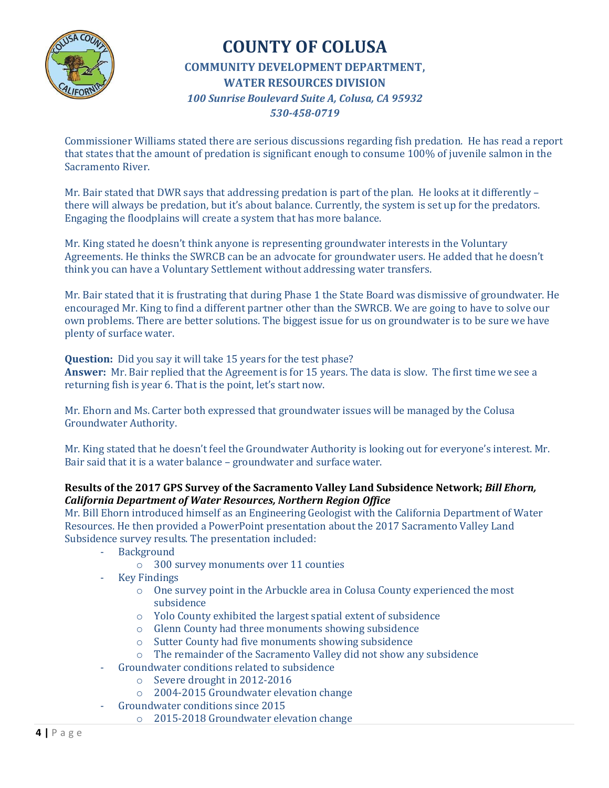

Commissioner Williams stated there are serious discussions regarding fish predation. He has read a report that states that the amount of predation is significant enough to consume 100% of juvenile salmon in the Sacramento River.

Mr. Bair stated that DWR says that addressing predation is part of the plan. He looks at it differently – there will always be predation, but it's about balance. Currently, the system is set up for the predators. Engaging the floodplains will create a system that has more balance.

Mr. King stated he doesn't think anyone is representing groundwater interests in the Voluntary Agreements. He thinks the SWRCB can be an advocate for groundwater users. He added that he doesn't think you can have a Voluntary Settlement without addressing water transfers.

Mr. Bair stated that it is frustrating that during Phase 1 the State Board was dismissive of groundwater. He encouraged Mr. King to find a different partner other than the SWRCB. We are going to have to solve our own problems. There are better solutions. The biggest issue for us on groundwater is to be sure we have plenty of surface water.

**Question:** Did you say it will take 15 years for the test phase?

**Answer:** Mr. Bair replied that the Agreement is for 15 years. The data is slow. The first time we see a returning fish is year 6. That is the point, let's start now.

Mr. Ehorn and Ms. Carter both expressed that groundwater issues will be managed by the Colusa Groundwater Authority.

Mr. King stated that he doesn't feel the Groundwater Authority is looking out for everyone's interest. Mr. Bair said that it is a water balance – groundwater and surface water.

#### **Results of the 2017 GPS Survey of the Sacramento Valley Land Subsidence Network;** *Bill Ehorn, California Department of Water Resources, Northern Region Office*

Mr. Bill Ehorn introduced himself as an Engineering Geologist with the California Department of Water Resources. He then provided a PowerPoint presentation about the 2017 Sacramento Valley Land Subsidence survey results. The presentation included:

- **Background** 
	- o 300 survey monuments over 11 counties
- **Key Findings** 
	- o One survey point in the Arbuckle area in Colusa County experienced the most subsidence
	- o Yolo County exhibited the largest spatial extent of subsidence
	- o Glenn County had three monuments showing subsidence
	- o Sutter County had five monuments showing subsidence
	- o The remainder of the Sacramento Valley did not show any subsidence
- Groundwater conditions related to subsidence
	- o Severe drought in 2012-2016
	- o 2004-2015 Groundwater elevation change
	- Groundwater conditions since 2015
		- o 2015-2018 Groundwater elevation change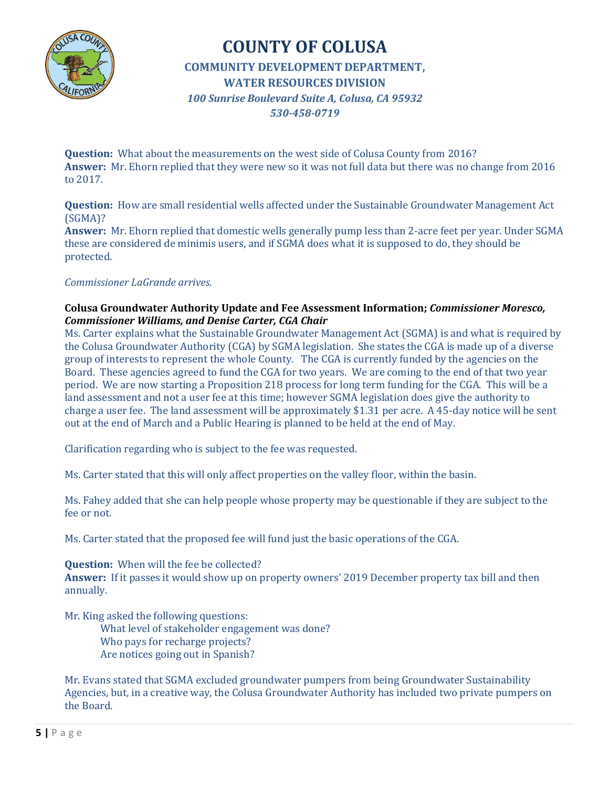

**Question:** What about the measurements on the west side of Colusa County from 2016? **Answer:** Mr. Ehorn replied that they were new so it was not full data but there was no change from 2016 to 2017.

**Question:** How are small residential wells affected under the Sustainable Groundwater Management Act (SGMA)?

**Answer:** Mr. Ehorn replied that domestic wells generally pump less than 2-acre feet per year. Under SGMA these are considered de minimis users, and if SGMA does what it is supposed to do, they should be protected.

#### *Commissioner LaGrande arrives.*

#### **Colusa Groundwater Authority Update and Fee Assessment Information;** *Commissioner Moresco, Commissioner Williams, and Denise Carter, CGA Chair*

Ms. Carter explains what the Sustainable Groundwater Management Act (SGMA) is and what is required by the Colusa Groundwater Authority (CGA) by SGMA legislation. She states the CGA is made up of a diverse group of interests to represent the whole County. The CGA is currently funded by the agencies on the Board. These agencies agreed to fund the CGA for two years. We are coming to the end of that two year period. We are now starting a Proposition 218 process for long term funding for the CGA. This will be a land assessment and not a user fee at this time; however SGMA legislation does give the authority to charge a user fee. The land assessment will be approximately \$1.31 per acre. A 45-day notice will be sent out at the end of March and a Public Hearing is planned to be held at the end of May.

Clarification regarding who is subject to the fee was requested.

Ms. Carter stated that this will only affect properties on the valley floor, within the basin.

Ms. Fahey added that she can help people whose property may be questionable if they are subject to the fee or not.

Ms. Carter stated that the proposed fee will fund just the basic operations of the CGA.

**Question:** When will the fee be collected? **Answer:** If it passes it would show up on property owners' 2019 December property tax bill and then annually.

Mr. King asked the following questions:

What level of stakeholder engagement was done? Who pays for recharge projects? Are notices going out in Spanish?

Mr. Evans stated that SGMA excluded groundwater pumpers from being Groundwater Sustainability Agencies, but, in a creative way, the Colusa Groundwater Authority has included two private pumpers on the Board.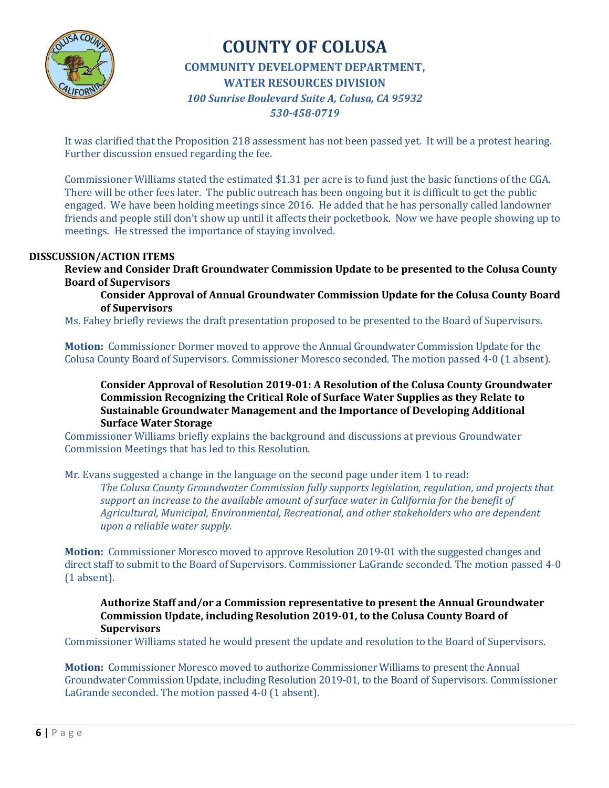

It was clarified that the Proposition 218 assessment has not been passed yet. It will be a protest hearing. Further discussion ensued regarding the fee.

Commissioner Williams stated the estimated \$1.31 per acre is to fund just the basic functions of the CGA. There will be other fees later. The public outreach has been ongoing but it is difficult to get the public engaged. We have been holding meetings since 2016. He added that he has personally called landowner friends and people still don't show up until it affects their pocketbook. Now we have people showing up to meetings. He stressed the importance of staying involved.

#### **DISSCUSSION/ACTION ITEMS**

**Review and Consider Draft Groundwater Commission Update to be presented to the Colusa County Board of Supervisors**

**Consider Approval of Annual Groundwater Commission Update for the Colusa County Board of Supervisors**

Ms. Fahey briefly reviews the draft presentation proposed to be presented to the Board of Supervisors.

**Motion:** Commissioner Dormer moved to approve the Annual Groundwater Commission Update for the Colusa County Board of Supervisors. Commissioner Moresco seconded. The motion passed 4-0 (1 absent).

**Consider Approval of Resolution 2019-01: A Resolution of the Colusa County Groundwater Commission Recognizing the Critical Role of Surface Water Supplies as they Relate to Sustainable Groundwater Management and the Importance of Developing Additional Surface Water Storage**

Commissioner Williams briefly explains the background and discussions at previous Groundwater Commission Meetings that has led to this Resolution.

Mr. Evans suggested a change in the language on the second page under item 1 to read:

*The Colusa County Groundwater Commission fully supports legislation, regulation, and projects that support an increase to the available amount of surface water in California for the benefit of Agricultural, Municipal, Environmental, Recreational, and other stakeholders who are dependent upon a reliable water supply.*

**Motion:** Commissioner Moresco moved to approve Resolution 2019-01 with the suggested changes and direct staff to submit to the Board of Supervisors. Commissioner LaGrande seconded. The motion passed 4-0 (1 absent).

**Authorize Staff and/or a Commission representative to present the Annual Groundwater Commission Update, including Resolution 2019-01, to the Colusa County Board of Supervisors**

Commissioner Williams stated he would present the update and resolution to the Board of Supervisors.

**Motion:** Commissioner Moresco moved to authorize Commissioner Williams to present the Annual Groundwater Commission Update, including Resolution 2019-01, to the Board of Supervisors. Commissioner LaGrande seconded. The motion passed 4-0 (1 absent).